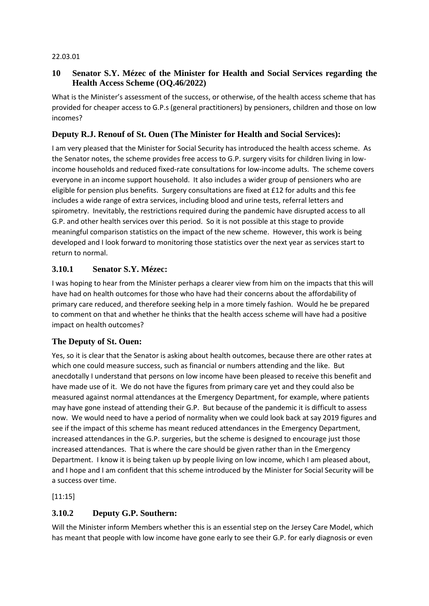#### 22.03.01

#### **10 Senator S.Y. Mézec of the Minister for Health and Social Services regarding the Health Access Scheme (OQ.46/2022)**

What is the Minister's assessment of the success, or otherwise, of the health access scheme that has provided for cheaper access to G.P.s (general practitioners) by pensioners, children and those on low incomes?

## **Deputy R.J. Renouf of St. Ouen (The Minister for Health and Social Services):**

I am very pleased that the Minister for Social Security has introduced the health access scheme. As the Senator notes, the scheme provides free access to G.P. surgery visits for children living in lowincome households and reduced fixed-rate consultations for low-income adults. The scheme covers everyone in an income support household. It also includes a wider group of pensioners who are eligible for pension plus benefits. Surgery consultations are fixed at £12 for adults and this fee includes a wide range of extra services, including blood and urine tests, referral letters and spirometry. Inevitably, the restrictions required during the pandemic have disrupted access to all G.P. and other health services over this period. So it is not possible at this stage to provide meaningful comparison statistics on the impact of the new scheme. However, this work is being developed and I look forward to monitoring those statistics over the next year as services start to return to normal.

### **3.10.1 Senator S.Y. Mézec:**

I was hoping to hear from the Minister perhaps a clearer view from him on the impacts that this will have had on health outcomes for those who have had their concerns about the affordability of primary care reduced, and therefore seeking help in a more timely fashion. Would he be prepared to comment on that and whether he thinks that the health access scheme will have had a positive impact on health outcomes?

#### **The Deputy of St. Ouen:**

Yes, so it is clear that the Senator is asking about health outcomes, because there are other rates at which one could measure success, such as financial or numbers attending and the like. But anecdotally I understand that persons on low income have been pleased to receive this benefit and have made use of it. We do not have the figures from primary care yet and they could also be measured against normal attendances at the Emergency Department, for example, where patients may have gone instead of attending their G.P. But because of the pandemic it is difficult to assess now. We would need to have a period of normality when we could look back at say 2019 figures and see if the impact of this scheme has meant reduced attendances in the Emergency Department, increased attendances in the G.P. surgeries, but the scheme is designed to encourage just those increased attendances. That is where the care should be given rather than in the Emergency Department. I know it is being taken up by people living on low income, which I am pleased about, and I hope and I am confident that this scheme introduced by the Minister for Social Security will be a success over time.

[11:15]

## **3.10.2 Deputy G.P. Southern:**

Will the Minister inform Members whether this is an essential step on the Jersey Care Model, which has meant that people with low income have gone early to see their G.P. for early diagnosis or even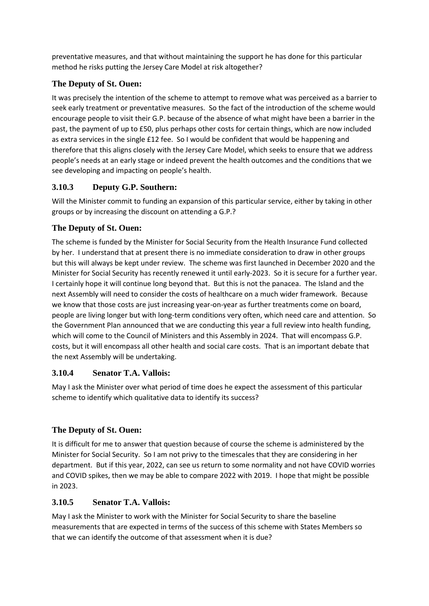preventative measures, and that without maintaining the support he has done for this particular method he risks putting the Jersey Care Model at risk altogether?

## **The Deputy of St. Ouen:**

It was precisely the intention of the scheme to attempt to remove what was perceived as a barrier to seek early treatment or preventative measures. So the fact of the introduction of the scheme would encourage people to visit their G.P. because of the absence of what might have been a barrier in the past, the payment of up to £50, plus perhaps other costs for certain things, which are now included as extra services in the single £12 fee. So I would be confident that would be happening and therefore that this aligns closely with the Jersey Care Model, which seeks to ensure that we address people's needs at an early stage or indeed prevent the health outcomes and the conditions that we see developing and impacting on people's health.

## **3.10.3 Deputy G.P. Southern:**

Will the Minister commit to funding an expansion of this particular service, either by taking in other groups or by increasing the discount on attending a G.P.?

## **The Deputy of St. Ouen:**

The scheme is funded by the Minister for Social Security from the Health Insurance Fund collected by her. I understand that at present there is no immediate consideration to draw in other groups but this will always be kept under review. The scheme was first launched in December 2020 and the Minister for Social Security has recently renewed it until early-2023. So it is secure for a further year. I certainly hope it will continue long beyond that. But this is not the panacea. The Island and the next Assembly will need to consider the costs of healthcare on a much wider framework. Because we know that those costs are just increasing year-on-year as further treatments come on board, people are living longer but with long-term conditions very often, which need care and attention. So the Government Plan announced that we are conducting this year a full review into health funding, which will come to the Council of Ministers and this Assembly in 2024. That will encompass G.P. costs, but it will encompass all other health and social care costs. That is an important debate that the next Assembly will be undertaking.

## **3.10.4 Senator T.A. Vallois:**

May I ask the Minister over what period of time does he expect the assessment of this particular scheme to identify which qualitative data to identify its success?

# **The Deputy of St. Ouen:**

It is difficult for me to answer that question because of course the scheme is administered by the Minister for Social Security. So I am not privy to the timescales that they are considering in her department. But if this year, 2022, can see us return to some normality and not have COVID worries and COVID spikes, then we may be able to compare 2022 with 2019. I hope that might be possible in 2023.

## **3.10.5 Senator T.A. Vallois:**

May I ask the Minister to work with the Minister for Social Security to share the baseline measurements that are expected in terms of the success of this scheme with States Members so that we can identify the outcome of that assessment when it is due?